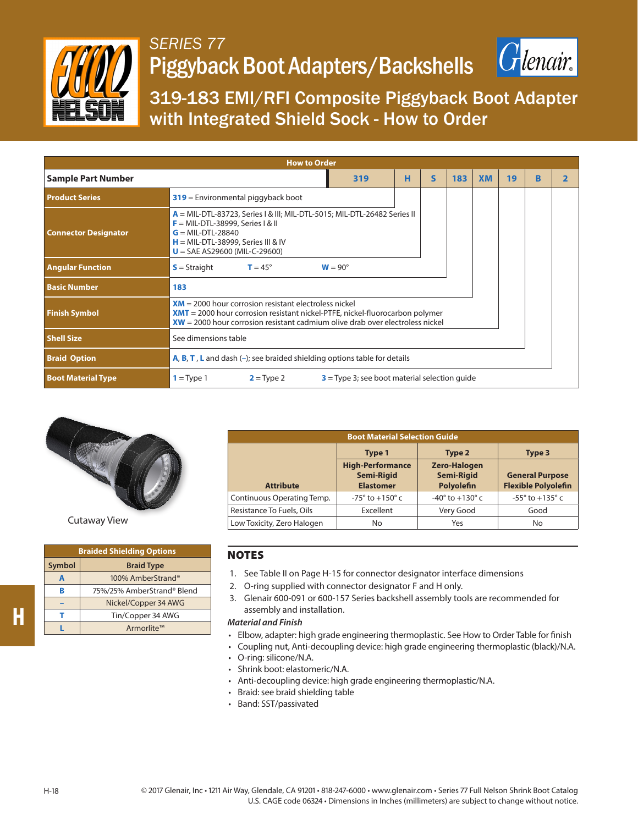

## *SERIES 77* Piggyback Boot Adapters/Backshells



319-183 EMI/RFI Composite Piggyback Boot Adapter with Integrated Shield Sock - How to Order

| <b>How to Order</b>                       |                                                                                                                                                                                                                                   |                |   |   |     |           |    |   |  |  |
|-------------------------------------------|-----------------------------------------------------------------------------------------------------------------------------------------------------------------------------------------------------------------------------------|----------------|---|---|-----|-----------|----|---|--|--|
| <b>Sample Part Number</b>                 |                                                                                                                                                                                                                                   | 319            | н | S | 183 | <b>XM</b> | 19 | R |  |  |
| <b>Product Series</b>                     | $319$ = Environmental piggyback boot                                                                                                                                                                                              |                |   |   |     |           |    |   |  |  |
| <b>Connector Designator</b>               | $A = MIL-DTL-83723$ , Series I & III; MIL-DTL-5015; MIL-DTL-26482 Series II<br>$F = MIL-DTL-38999$ , Series I & II<br>$G = MIL-DTL-28840$<br>$H = MIL-DTL-38999$ , Series III & IV<br>$U = SAE A S29600 (MIL-C-29600)$            |                |   |   |     |           |    |   |  |  |
| <b>Angular Function</b>                   | $S =$ Straight<br>$T = 45^{\circ}$                                                                                                                                                                                                | $W = 90^\circ$ |   |   |     |           |    |   |  |  |
| <b>Basic Number</b>                       | 183                                                                                                                                                                                                                               |                |   |   |     |           |    |   |  |  |
| <b>Finish Symbol</b>                      | $XM = 2000$ hour corrosion resistant electroless nickel<br><b>XMT</b> = 2000 hour corrosion resistant nickel-PTFE, nickel-fluorocarbon polymer<br>$XW = 2000$ hour corrosion resistant cadmium olive drab over electroless nickel |                |   |   |     |           |    |   |  |  |
| <b>Shell Size</b><br>See dimensions table |                                                                                                                                                                                                                                   |                |   |   |     |           |    |   |  |  |
| <b>Braid Option</b>                       | <b>A, B, T, L</b> and dash $(-)$ ; see braided shielding options table for details                                                                                                                                                |                |   |   |     |           |    |   |  |  |
| <b>Boot Material Type</b>                 | $1 = Type 1$<br>$2 = Type 2$<br>$3$ = Type 3; see boot material selection quide                                                                                                                                                   |                |   |   |     |           |    |   |  |  |



Cutaway View

| <b>Braided Shielding Options</b> |                            |  |  |  |  |  |  |  |
|----------------------------------|----------------------------|--|--|--|--|--|--|--|
| Symbol<br><b>Braid Type</b>      |                            |  |  |  |  |  |  |  |
| A                                | 100% AmberStrand®          |  |  |  |  |  |  |  |
| B                                | 75%/25% AmberStrand® Blend |  |  |  |  |  |  |  |
|                                  | Nickel/Copper 34 AWG       |  |  |  |  |  |  |  |
| т                                | Tin/Copper 34 AWG          |  |  |  |  |  |  |  |
|                                  | Armorlite™                 |  |  |  |  |  |  |  |

| <b>Boot Material Selection Guide</b> |                                                                  |                                                        |                                                                |  |  |  |  |  |  |
|--------------------------------------|------------------------------------------------------------------|--------------------------------------------------------|----------------------------------------------------------------|--|--|--|--|--|--|
|                                      | Type 1                                                           | Type 2                                                 | Type 3<br><b>General Purpose</b><br><b>Flexible Polyolefin</b> |  |  |  |  |  |  |
| <b>Attribute</b>                     | <b>High-Performance</b><br><b>Semi-Rigid</b><br><b>Elastomer</b> | <b>Zero-Halogen</b><br><b>Semi-Rigid</b><br>Polyolefin |                                                                |  |  |  |  |  |  |
| Continuous Operating Temp.           | $-75^{\circ}$ to $+150^{\circ}$ c                                | $-40^{\circ}$ to $+130^{\circ}$ c                      | $-55^\circ$ to $+135^\circ$ c                                  |  |  |  |  |  |  |
| Resistance To Fuels, Oils            | Excellent                                                        | Very Good                                              | Good                                                           |  |  |  |  |  |  |
| Low Toxicity, Zero Halogen           | No                                                               | Yes                                                    | No                                                             |  |  |  |  |  |  |

## **NOTES**

- 1. See Table II on Page H-15 for connector designator interface dimensions
- 2. O-ring supplied with connector designator F and H only.
- 3. Glenair 600-091 or 600-157 Series backshell assembly tools are recommended for assembly and installation.

## *Material and Finish*

- Elbow, adapter: high grade engineering thermoplastic. See How to Order Table for finish
- Coupling nut, Anti-decoupling device: high grade engineering thermoplastic (black)/N.A.
- O-ring: silicone/N.A.
- Shrink boot: elastomeric/N.A.
- Anti-decoupling device: high grade engineering thermoplastic/N.A.
- Braid: see braid shielding table
- Band: SST/passivated

**H**